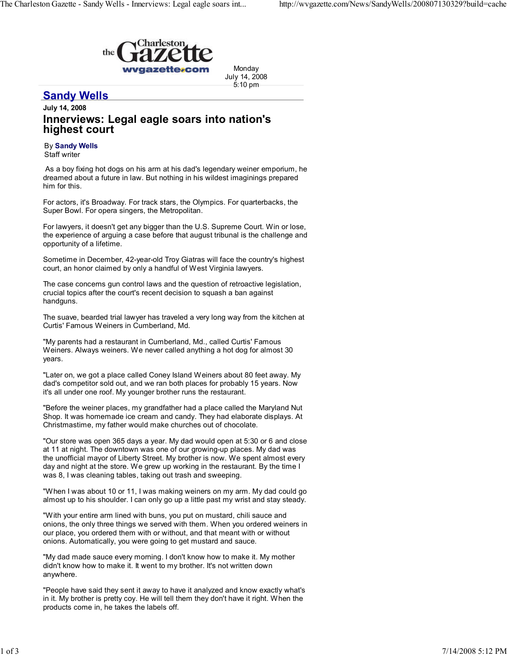

Monday July 14, 2008 5:10 pm

## **Sandy Wells**

## July 14, 2008 Innerviews: Legal eagle soars into nation's highest court

## By Sandy Wells

Staff writer

As a boy fixing hot dogs on his arm at his dad's legendary weiner emporium, he dreamed about a future in law. But nothing in his wildest imaginings prepared him for this.

For actors, it's Broadway. For track stars, the Olympics. For quarterbacks, the Super Bowl. For opera singers, the Metropolitan.

For lawyers, it doesn't get any bigger than the U.S. Supreme Court. Win or lose, the experience of arguing a case before that august tribunal is the challenge and opportunity of a lifetime.

Sometime in December, 42-year-old Troy Giatras will face the country's highest court, an honor claimed by only a handful of West Virginia lawyers.

The case concerns gun control laws and the question of retroactive legislation, crucial topics after the court's recent decision to squash a ban against handguns.

The suave, bearded trial lawyer has traveled a very long way from the kitchen at Curtis' Famous Weiners in Cumberland, Md.

"My parents had a restaurant in Cumberland, Md., called Curtis' Famous Weiners. Always weiners. We never called anything a hot dog for almost 30 years.

"Later on, we got a place called Coney Island Weiners about 80 feet away. My dad's competitor sold out, and we ran both places for probably 15 years. Now it's all under one roof. My younger brother runs the restaurant.

"Before the weiner places, my grandfather had a place called the Maryland Nut Shop. It was homemade ice cream and candy. They had elaborate displays. At Christmastime, my father would make churches out of chocolate.

"Our store was open 365 days a year. My dad would open at 5:30 or 6 and close at 11 at night. The downtown was one of our growing-up places. My dad was the unofficial mayor of Liberty Street. My brother is now. We spent almost every day and night at the store. We grew up working in the restaurant. By the time I was 8, I was cleaning tables, taking out trash and sweeping.

"When I was about 10 or 11, I was making weiners on my arm. My dad could go almost up to his shoulder. I can only go up a little past my wrist and stay steady.

"With your entire arm lined with buns, you put on mustard, chili sauce and onions, the only three things we served with them. When you ordered weiners in our place, you ordered them with or without, and that meant with or without onions. Automatically, you were going to get mustard and sauce.

"My dad made sauce every morning. I don't know how to make it. My mother didn't know how to make it. It went to my brother. It's not written down anywhere.

"People have said they sent it away to have it analyzed and know exactly what's in it. My brother is pretty coy. He will tell them they don't have it right. When the products come in, he takes the labels off.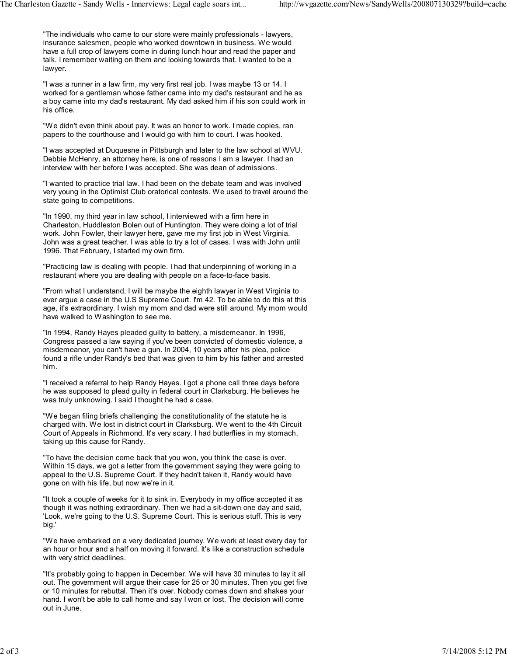"The individuals who came to our store were mainly professionals - lawyers, insurance salesmen, people who worked downtown in business. We would have a full crop of lawyers come in during lunch hour and read the paper and talk. I remember waiting on them and looking towards that. I wanted to be a lawyer.

"I was a runner in a law firm, my very first real job. I was maybe 13 or 14. I worked for a gentleman whose father came into my dad's restaurant and he as a boy came into my dad's restaurant. My dad asked him if his son could work in his office.

"We didn't even think about pay. It was an honor to work. I made copies, ran papers to the courthouse and I would go with him to court. I was hooked.

"I was accepted at Duquesne in Pittsburgh and later to the law school at WVU. Debbie McHenry, an attorney here, is one of reasons I am a lawyer. I had an interview with her before I was accepted. She was dean of admissions.

"I wanted to practice trial law. I had been on the debate team and was involved very young in the Optimist Club oratorical contests. We used to travel around the state going to competitions.

"In 1990, my third year in law school, I interviewed with a firm here in Charleston, Huddleston Bolen out of Huntington. They were doing a lot of trial work. John Fowler, their lawyer here, gave me my first job in West Virginia. John was a great teacher. I was able to try a lot of cases. I was with John until 1996. That February, I started my own firm.

"Practicing law is dealing with people. I had that underpinning of working in a restaurant where you are dealing with people on a face-to-face basis.

"From what I understand, I will be maybe the eighth lawyer in West Virginia to ever argue a case in the U.S Supreme Court. I'm 42. To be able to do this at this age, it's extraordinary. I wish my mom and dad were still around. My mom would have walked to Washington to see me.

"In 1994, Randy Hayes pleaded guilty to battery, a misdemeanor. In 1996, Congress passed a law saying if you've been convicted of domestic violence, a misdemeanor, you can't have a gun. In 2004, 10 years after his plea, police found a rifle under Randy's bed that was given to him by his father and arrested him.

"I received a referral to help Randy Hayes. I got a phone call three days before he was supposed to plead guilty in federal court in Clarksburg. He believes he was truly unknowing. I said I thought he had a case.

"We began filing briefs challenging the constitutionality of the statute he is charged with. We lost in district court in Clarksburg. We went to the 4th Circuit Court of Appeals in Richmond. It's very scary. I had butterflies in my stomach, taking up this cause for Randy.

"To have the decision come back that you won, you think the case is over. Within 15 days, we got a letter from the government saying they were going to appeal to the U.S. Supreme Court. If they hadn't taken it, Randy would have gone on with his life, but now we're in it.

"It took a couple of weeks for it to sink in. Everybody in my office accepted it as though it was nothing extraordinary. Then we had a sit-down one day and said, 'Look, we're going to the U.S. Supreme Court. This is serious stuff. This is very big.'

"We have embarked on a very dedicated journey. We work at least every day for an hour or hour and a half on moving it forward. It's like a construction schedule with very strict deadlines.

"It's probably going to happen in December. We will have 30 minutes to lay it all out. The government will argue their case for 25 or 30 minutes. Then you get five or 10 minutes for rebuttal. Then it's over. Nobody comes down and shakes your hand. I won't be able to call home and say I won or lost. The decision will come out in June.